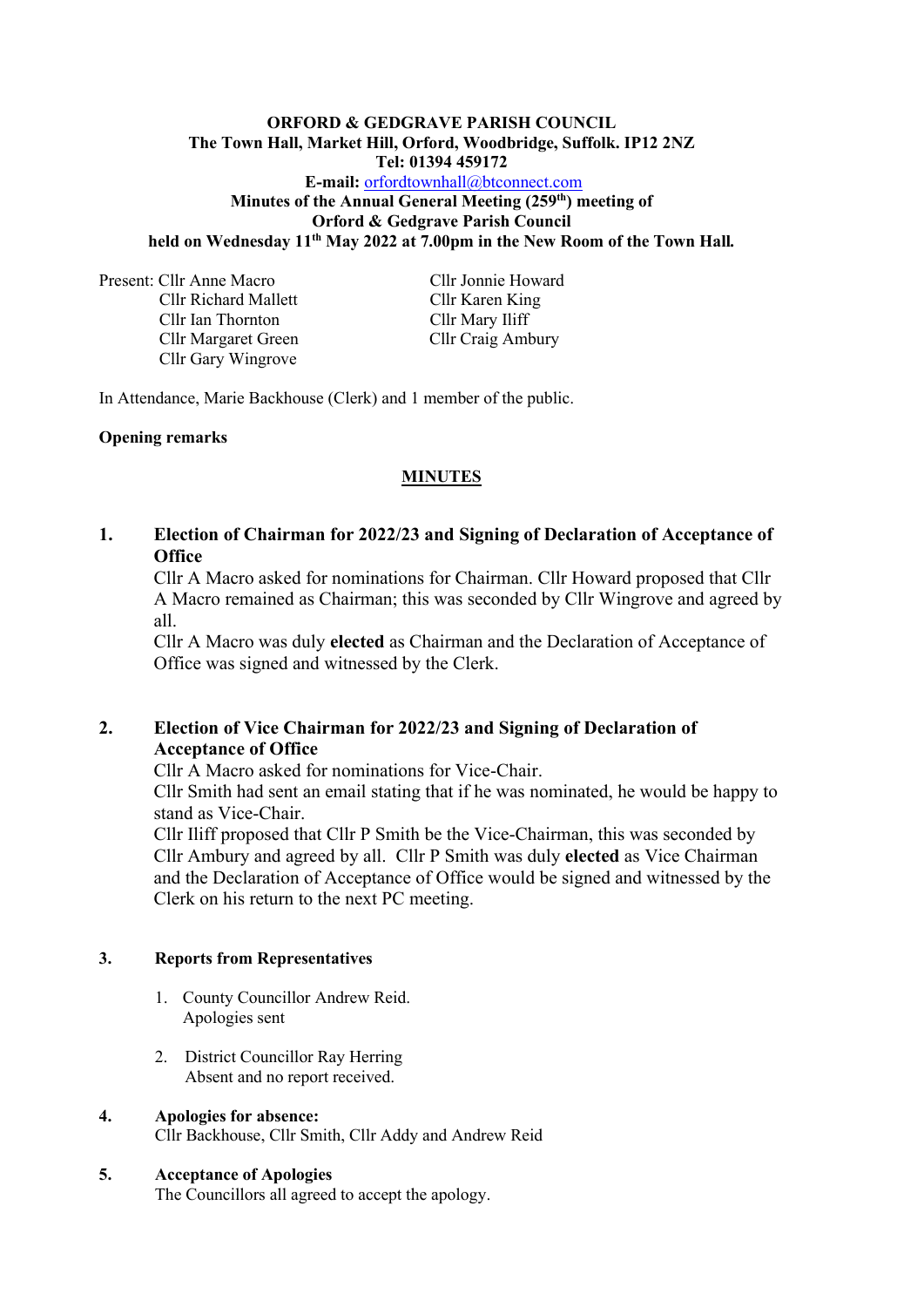## **ORFORD & GEDGRAVE PARISH COUNCIL The Town Hall, Market Hill, Orford, Woodbridge, Suffolk. IP12 2NZ Tel: 01394 459172 E-mail:** [orfordtownhall@btconnect.com](mailto:orfordtownhall@btconnect.com) **Minutes of the Annual General Meeting (259 th) meeting of Orford & Gedgrave Parish Council held on Wednesday 11 th May 2022 at 7.00pm in the New Room of the Town Hall***.*

Present: Cllr Anne Macro Cllr Jonnie Howard Cllr Richard Mallett Cllr Karen King Cllr Ian Thornton Cllr Mary Iliff Cllr Margaret Green Cllr Craig Ambury Cllr Gary Wingrove

In Attendance, Marie Backhouse (Clerk) and 1 member of the public.

## **Opening remarks**

# **MINUTES**

# **1. Election of Chairman for 2022/23 and Signing of Declaration of Acceptance of Office**

Cllr A Macro asked for nominations for Chairman. Cllr Howard proposed that Cllr A Macro remained as Chairman; this was seconded by Cllr Wingrove and agreed by all.

Cllr A Macro was duly **elected** as Chairman and the Declaration of Acceptance of Office was signed and witnessed by the Clerk.

# **2. Election of Vice Chairman for 2022/23 and Signing of Declaration of Acceptance of Office**

Cllr A Macro asked for nominations for Vice-Chair.

Cllr Smith had sent an email stating that if he was nominated, he would be happy to stand as Vice-Chair.

Cllr Iliff proposed that Cllr P Smith be the Vice-Chairman, this was seconded by Cllr Ambury and agreed by all.Cllr P Smith was duly **elected** as Vice Chairman and the Declaration of Acceptance of Office would be signed and witnessed by the Clerk on his return to the next PC meeting.

#### **3. Reports from Representatives**

- 1. County Councillor Andrew Reid. Apologies sent
- 2. District Councillor Ray Herring Absent and no report received.

# **4. Apologies for absence:**

Cllr Backhouse, Cllr Smith, Cllr Addy and Andrew Reid

#### **5. Acceptance of Apologies**

The Councillors all agreed to accept the apology.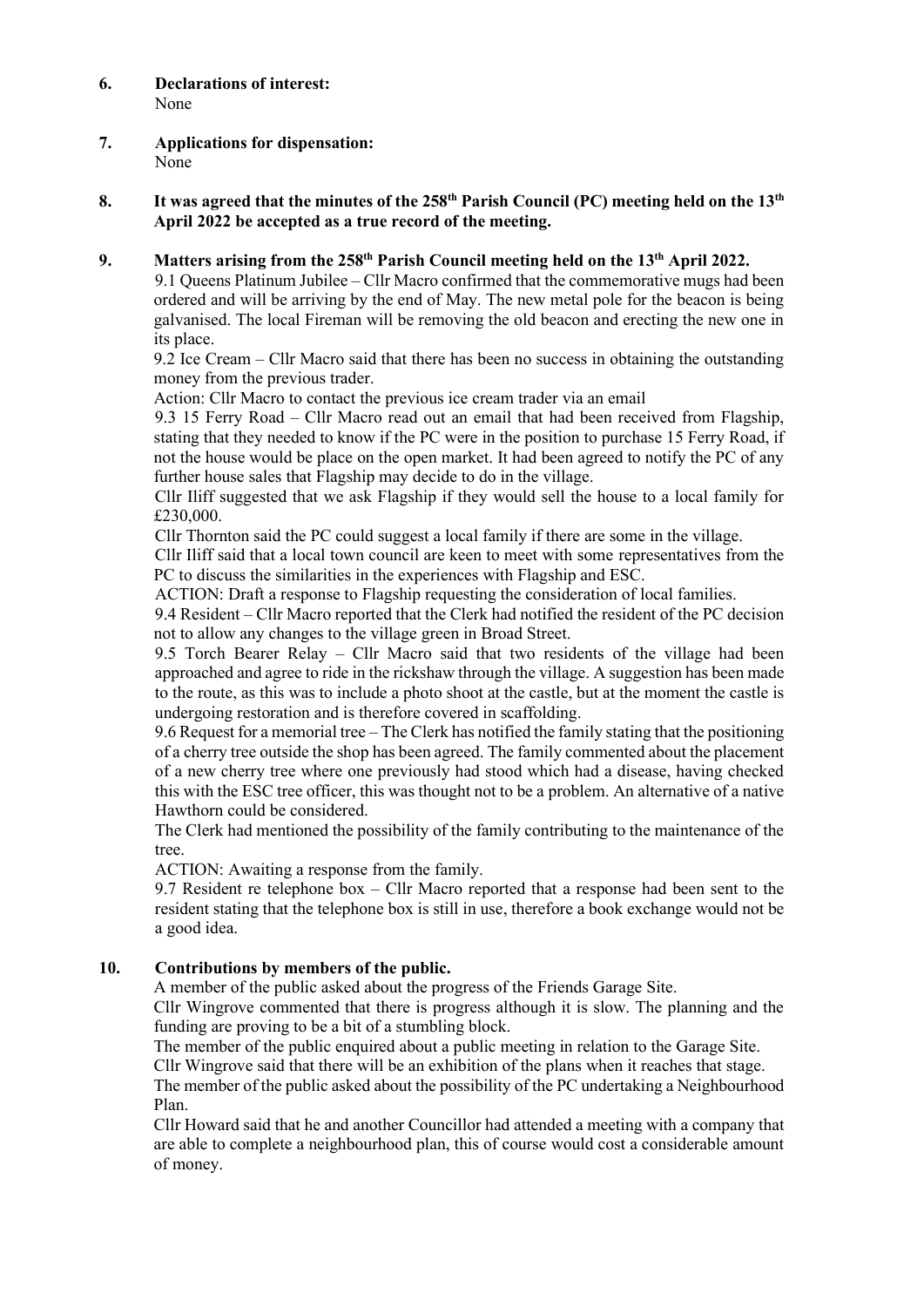## **6. Declarations of interest:** None

**7. Applications for dispensation:** None

#### **8.** It was agreed that the minutes of the 258<sup>th</sup> Parish Council (PC) meeting held on the 13<sup>th</sup> **April 2022 be accepted as a true record of the meeting.**

## **9. Matters arising from the 258 th Parish Council meeting held on the 13 th April 2022.**

9.1 Queens Platinum Jubilee – Cllr Macro confirmed that the commemorative mugs had been ordered and will be arriving by the end of May. The new metal pole for the beacon is being galvanised. The local Fireman will be removing the old beacon and erecting the new one in its place.

9.2 Ice Cream – Cllr Macro said that there has been no success in obtaining the outstanding money from the previous trader.

Action: Cllr Macro to contact the previous ice cream trader via an email

9.3 15 Ferry Road – Cllr Macro read out an email that had been received from Flagship, stating that they needed to know if the PC were in the position to purchase 15 Ferry Road, if not the house would be place on the open market. It had been agreed to notify the PC of any further house sales that Flagship may decide to do in the village.

Cllr Iliff suggested that we ask Flagship if they would sell the house to a local family for £230,000.

Cllr Thornton said the PC could suggest a local family if there are some in the village.

Cllr Iliff said that a local town council are keen to meet with some representatives from the PC to discuss the similarities in the experiences with Flagship and ESC.

ACTION: Draft a response to Flagship requesting the consideration of local families.

9.4 Resident – Cllr Macro reported that the Clerk had notified the resident of the PC decision not to allow any changes to the village green in Broad Street.

9.5 Torch Bearer Relay – Cllr Macro said that two residents of the village had been approached and agree to ride in the rickshaw through the village. A suggestion has been made to the route, as this was to include a photo shoot at the castle, but at the moment the castle is undergoing restoration and is therefore covered in scaffolding.

9.6 Request for a memorial tree – The Clerk has notified the family stating that the positioning of a cherry tree outside the shop has been agreed. The family commented about the placement of a new cherry tree where one previously had stood which had a disease, having checked this with the ESC tree officer, this was thought not to be a problem. An alternative of a native Hawthorn could be considered.

The Clerk had mentioned the possibility of the family contributing to the maintenance of the tree.

ACTION: Awaiting a response from the family.

9.7 Resident re telephone box – Cllr Macro reported that a response had been sent to the resident stating that the telephone box is still in use, therefore a book exchange would not be a good idea.

# **10. Contributions by members of the public.**

A member of the public asked about the progress of the Friends Garage Site.

Cllr Wingrove commented that there is progress although it is slow. The planning and the funding are proving to be a bit of a stumbling block.

The member of the public enquired about a public meeting in relation to the Garage Site.

Cllr Wingrove said that there will be an exhibition of the plans when it reaches that stage.

The member of the public asked about the possibility of the PC undertaking a Neighbourhood Plan.

Cllr Howard said that he and another Councillor had attended a meeting with a company that are able to complete a neighbourhood plan, this of course would cost a considerable amount of money.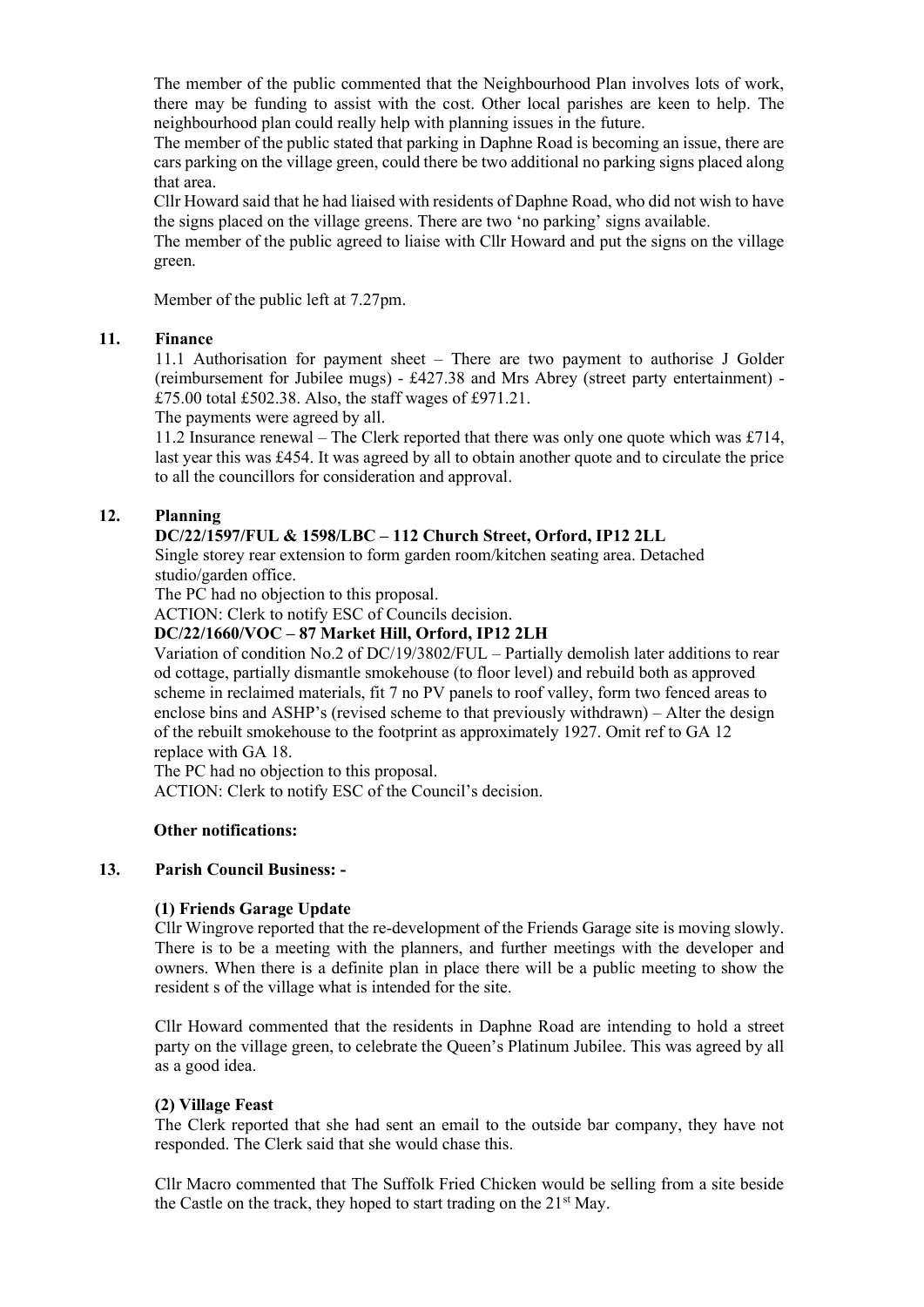The member of the public commented that the Neighbourhood Plan involves lots of work, there may be funding to assist with the cost. Other local parishes are keen to help. The neighbourhood plan could really help with planning issues in the future.

The member of the public stated that parking in Daphne Road is becoming an issue, there are cars parking on the village green, could there be two additional no parking signs placed along that area.

Cllr Howard said that he had liaised with residents of Daphne Road, who did not wish to have the signs placed on the village greens. There are two 'no parking' signs available.

The member of the public agreed to liaise with Cllr Howard and put the signs on the village green.

Member of the public left at 7.27pm.

#### **11. Finance**

11.1 Authorisation for payment sheet – There are two payment to authorise J Golder (reimbursement for Jubilee mugs) - £427.38 and Mrs Abrey (street party entertainment) - £75.00 total £502.38. Also, the staff wages of £971.21.

The payments were agreed by all.

11.2 Insurance renewal – The Clerk reported that there was only one quote which was £714, last year this was £454. It was agreed by all to obtain another quote and to circulate the price to all the councillors for consideration and approval.

## **12. Planning**

## **DC/22/1597/FUL & 1598/LBC – 112 Church Street, Orford, IP12 2LL**

Single storey rear extension to form garden room/kitchen seating area. Detached studio/garden office.

The PC had no objection to this proposal.

ACTION: Clerk to notify ESC of Councils decision.

**DC/22/1660/VOC – 87 Market Hill, Orford, IP12 2LH**

Variation of condition No.2 of DC/19/3802/FUL – Partially demolish later additions to rear od cottage, partially dismantle smokehouse (to floor level) and rebuild both as approved scheme in reclaimed materials, fit 7 no PV panels to roof valley, form two fenced areas to enclose bins and ASHP's (revised scheme to that previously withdrawn) – Alter the design of the rebuilt smokehouse to the footprint as approximately 1927. Omit ref to GA 12 replace with GA 18.

The PC had no objection to this proposal.

ACTION: Clerk to notify ESC of the Council's decision.

#### **Other notifications:**

#### **13. Parish Council Business: -**

## **(1) Friends Garage Update**

Cllr Wingrove reported that the re-development of the Friends Garage site is moving slowly. There is to be a meeting with the planners, and further meetings with the developer and owners. When there is a definite plan in place there will be a public meeting to show the resident s of the village what is intended for the site.

Cllr Howard commented that the residents in Daphne Road are intending to hold a street party on the village green, to celebrate the Queen's Platinum Jubilee. This was agreed by all as a good idea.

#### **(2) Village Feast**

The Clerk reported that she had sent an email to the outside bar company, they have not responded. The Clerk said that she would chase this.

Cllr Macro commented that The Suffolk Fried Chicken would be selling from a site beside the Castle on the track, they hoped to start trading on the  $21<sup>st</sup>$  May.